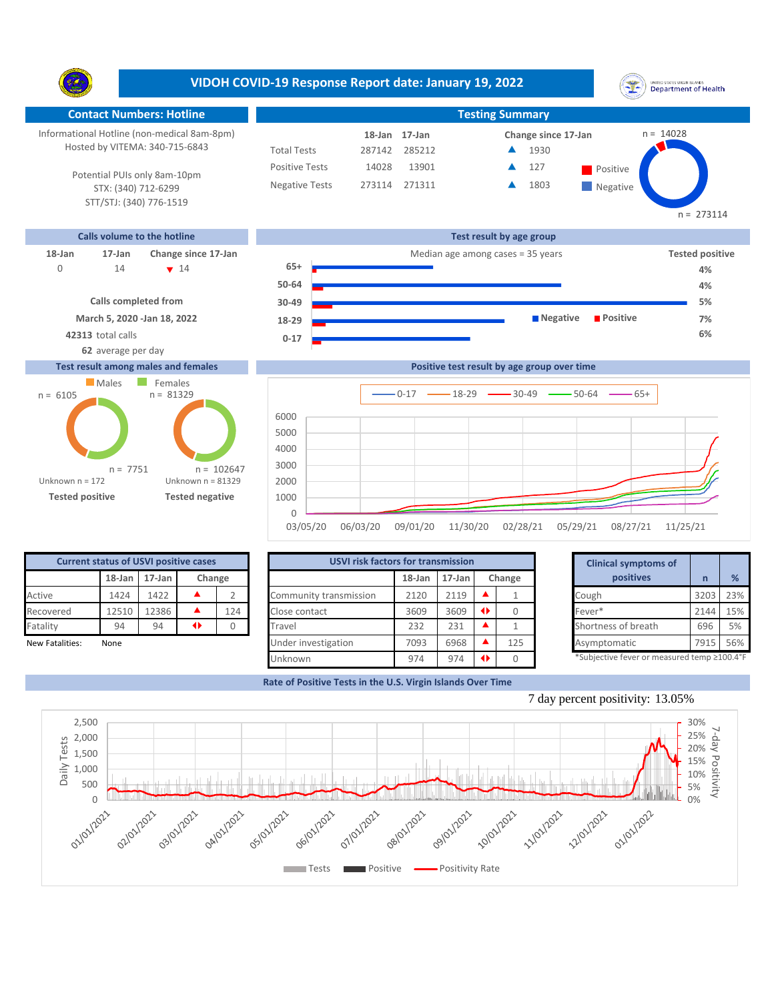**VIDOH COVID-19 Response Report date: January 19, 2022** UNITED STATES VIRGIN SLANDS<br>Department of Health Y. **Contact Numbers: Hotline Testing Summary** Informational Hotline (non-medical 8am-8pm) n = 14028 **18-Jan Change since 17-Jan 17-Jan** Hosted by VITEMA: 340-715-6843 Total Tests 287142 285212 1930 ▲ Positive Tests 14028 13901 **127** Positive  $\blacktriangle$ 127 Potential PUIs only 8am-10pm Negative Tests 273114 271311 1803 ▲ **Negative** STX: (340) 712-6299 STT/STJ: (340) 776-1519 n = 273114 **Calls volume to the hotline Test result by age group 18-Jan 17-Jan Change since 17-Jan** Median age among cases = 35 years **Tested positive 65+** 14 14 0 14 **v** 14 **b** 5+ **a h a h a h a 4% 50-64 4% Calls completed from 5% 30-49 March 5, 2020 -Jan 18, 2022 Negative Positive 7% 18-29 42313** total calls **6% 0-17 62** average per day

## **Test result among males and females**



|              |          |          |          | Positive test result by age group over time |          |          |          |
|--------------|----------|----------|----------|---------------------------------------------|----------|----------|----------|
|              |          | $0 - 17$ |          | $ 18-29$ $ 30-49$ $ 50-64$                  |          | — 65+    |          |
| 6000         |          |          |          |                                             |          |          |          |
| 5000         |          |          |          |                                             |          |          |          |
| 4000         |          |          |          |                                             |          |          |          |
| 3000         |          |          |          |                                             |          |          |          |
| 2000         |          |          |          |                                             |          |          |          |
| 1000         |          |          |          |                                             |          |          |          |
| $\mathbf{0}$ |          |          |          |                                             |          |          |          |
| 03/05/20     | 06/03/20 | 09/01/20 | 11/30/20 | 02/28/21                                    | 05/29/21 | 08/27/21 | 11/25/21 |

| <b>Current status of USVI positive cases</b> |        |           |        |     |  |  |  |  |  |
|----------------------------------------------|--------|-----------|--------|-----|--|--|--|--|--|
|                                              | 18-Jan | $17$ -Jan | Change |     |  |  |  |  |  |
| Active                                       | 1424   | 1422      |        | 2   |  |  |  |  |  |
| Recovered                                    | 12510  | 12386     |        | 124 |  |  |  |  |  |
| Fatality                                     | 94     | 94        | a      |     |  |  |  |  |  |
| <b>New Fatalities:</b>                       | None   |           |        |     |  |  |  |  |  |

|                 | <b>Current status of USVI positive cases</b> |        |   |        |                        | <b>USVI risk factors for transmission</b> |           |  |        |  |                                            |      |     |
|-----------------|----------------------------------------------|--------|---|--------|------------------------|-------------------------------------------|-----------|--|--------|--|--------------------------------------------|------|-----|
|                 | $18$ -Jan                                    | 17-Jan |   | Change |                        | $18$ -Jan                                 | $17$ -Jan |  | Change |  | positives                                  |      | %   |
| Active          | 1424                                         | 1422   |   |        | Community transmission | 2120                                      | 2119      |  |        |  | Cough                                      | 3203 | 23% |
| Recovered       | 12510                                        | 2386   |   | 124    | Close contact          | 3609                                      | 3609      |  |        |  | Fever*                                     | 2144 | 15% |
| Fatality        | 94                                           | 94     | ◆ |        | Travel                 | 232                                       | 231       |  |        |  | Shortness of breath                        | 696  | 5%  |
| New Fatalities: | None                                         |        |   |        | Under investigation    | 7093                                      | 6968      |  | 125    |  | Asymptomatic                               | 7915 | 56% |
|                 |                                              |        |   |        | Unknown                | 974                                       | 974       |  |        |  | *Subjective fever or measured temp ≥100.4° |      |     |

|        | for transmission |                 |        | <b>Clinical symptoms of</b>                 |      |     |  |
|--------|------------------|-----------------|--------|---------------------------------------------|------|-----|--|
| 18-Jan | 17-Jan           |                 | Change | positives                                   | n    | %   |  |
| 2120   | 2119             | ▲               |        | Cough                                       | 3203 | 23% |  |
| 3609   | 3609             | $\blacklozenge$ |        | Fever*                                      | 2144 | 15% |  |
| 232    | 231              |                 |        | Shortness of breath                         | 696  | 5%  |  |
| 7093   | 6968             | ▲               | 125    | Asymptomatic                                | 7915 | 56% |  |
| 974    | 974              | O               |        | *Subjective fever or measured temp ≥100.4°F |      |     |  |

**Rate of Positive Tests in the U.S. Virgin Islands Over Time**

<sup>7</sup> day percent positivity: 13.05%